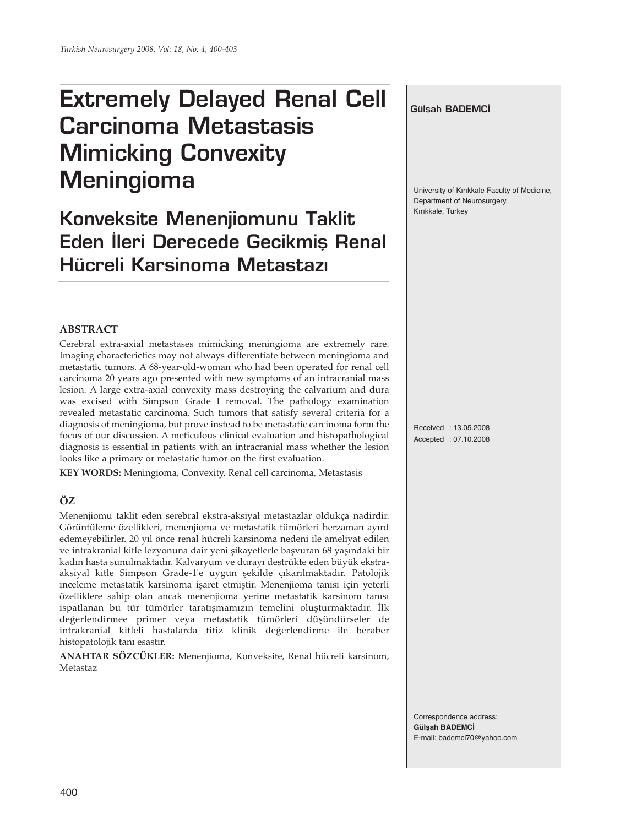# **Extremely Delayed Renal Cell Carcinoma Metastasis Mimicking Convexity Meningioma**

# **Konveksite Menenjiomunu Taklit Eden İleri Derecede Gecikmis Renal Hücreli Karsinoma Metastaz›**

# **ABSTRACT**

Cerebral extra-axial metastases mimicking meningioma are extremely rare. Imaging characterictics may not always differentiate between meningioma and metastatic tumors. A 68-year-old-woman who had been operated for renal cell carcinoma 20 years ago presented with new symptoms of an intracranial mass lesion. A large extra-axial convexity mass destroying the calvarium and dura was excised with Simpson Grade I removal. The pathology examination revealed metastatic carcinoma. Such tumors that satisfy several criteria for a diagnosis of meningioma, but prove instead to be metastatic carcinoma form the focus of our discussion. A meticulous clinical evaluation and histopathological diagnosis is essential in patients with an intracranial mass whether the lesion looks like a primary or metastatic tumor on the first evaluation.

**KEY WORDS:** Meningioma, Convexity, Renal cell carcinoma, Metastasis

# **ÖZ**

Menenjiomu taklit eden serebral ekstra-aksiyal metastazlar oldukça nadirdir. Görüntüleme özellikleri, menenjioma ve metastatik tümörleri herzaman ayırd edemeyebilirler. 20 yıl önce renal hücreli karsinoma nedeni ile ameliyat edilen ve intrakranial kitle lezyonuna dair yeni şikayetlerle başvuran 68 yaşındaki bir kadın hasta sunulmaktadır. Kalvaryum ve durayı destrükte eden büyük ekstraaksiyal kitle Simpson Grade-1'e uygun şekilde çıkarılmaktadır. Patolojik inceleme metastatik karsinoma işaret etmiştir. Menenjioma tanısı için yeterli özelliklere sahip olan ancak menenjioma yerine metastatik karsinom tanısı ispatlanan bu tür tümörler taratışmamızın temelini oluşturmaktadır. İlk değerlendirmee primer veya metastatik tümörleri düşündürseler de intrakranial kitleli hastalarda titiz klinik değerlendirme ile beraber histopatolojik tanı esastır.

**ANAHTAR SÖZCÜKLER:** Menenjioma, Konveksite, Renal hücreli karsinom, Metastaz

### **Gülsah BADEMCİ**

University of Kırıkkale Faculty of Medicine, Department of Neurosurgery, Kırıkkale, Turkey

Received : 13.05.2008 Accepted : 07.10.2008

Correspondence address: **Gülşah BADEMCİ** E-mail: bademci70@yahoo.com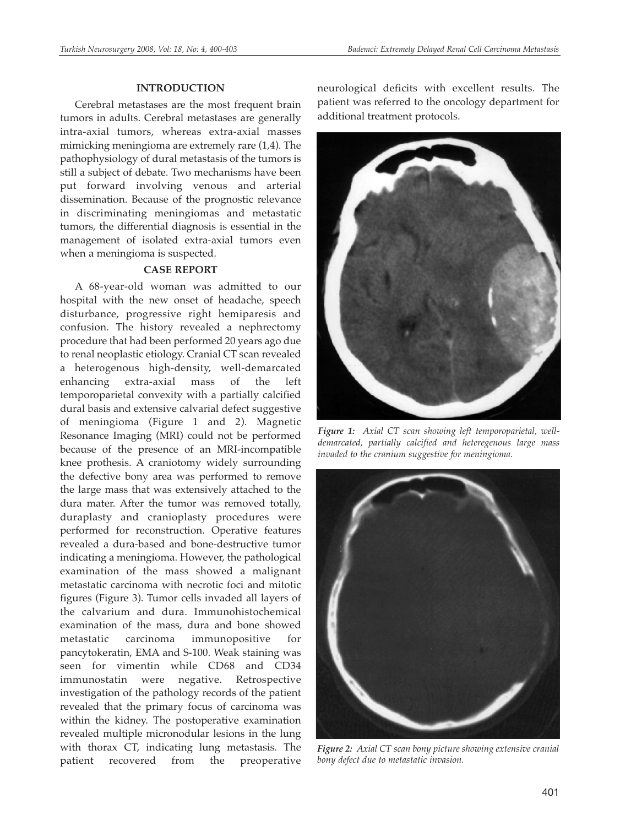#### **INTRODUCTION**

Cerebral metastases are the most frequent brain tumors in adults. Cerebral metastases are generally intra-axial tumors, whereas extra-axial masses mimicking meningioma are extremely rare (1,4). The pathophysiology of dural metastasis of the tumors is still a subject of debate. Two mechanisms have been put forward involving venous and arterial dissemination. Because of the prognostic relevance in discriminating meningiomas and metastatic tumors, the differential diagnosis is essential in the management of isolated extra-axial tumors even when a meningioma is suspected.

# **CASE REPORT**

A 68-year-old woman was admitted to our hospital with the new onset of headache, speech disturbance, progressive right hemiparesis and confusion. The history revealed a nephrectomy procedure that had been performed 20 years ago due to renal neoplastic etiology. Cranial CT scan revealed a heterogenous high-density, well-demarcated enhancing extra-axial mass of the left temporoparietal convexity with a partially calcified dural basis and extensive calvarial defect suggestive of meningioma (Figure 1 and 2). Magnetic Resonance Imaging (MRI) could not be performed because of the presence of an MRI-incompatible knee prothesis. A craniotomy widely surrounding the defective bony area was performed to remove the large mass that was extensively attached to the dura mater. After the tumor was removed totally, duraplasty and cranioplasty procedures were performed for reconstruction. Operative features revealed a dura-based and bone-destructive tumor indicating a meningioma. However, the pathological examination of the mass showed a malignant metastatic carcinoma with necrotic foci and mitotic figures (Figure 3). Tumor cells invaded all layers of the calvarium and dura. Immunohistochemical examination of the mass, dura and bone showed metastatic carcinoma immunopositive for pancytokeratin, EMA and S-100. Weak staining was seen for vimentin while CD68 and CD34 immunostatin were negative. Retrospective investigation of the pathology records of the patient revealed that the primary focus of carcinoma was within the kidney. The postoperative examination revealed multiple micronodular lesions in the lung with thorax CT, indicating lung metastasis. The patient recovered from the preoperative

neurological deficits with excellent results. The patient was referred to the oncology department for additional treatment protocols.



*Figure 1: Axial CT scan showing left temporoparietal, welldemarcated, partially calcified and heteregenous large mass invaded to the cranium suggestive for meningioma.*



*Figure 2: Axial CT scan bony picture showing extensive cranial bony defect due to metastatic invasion.*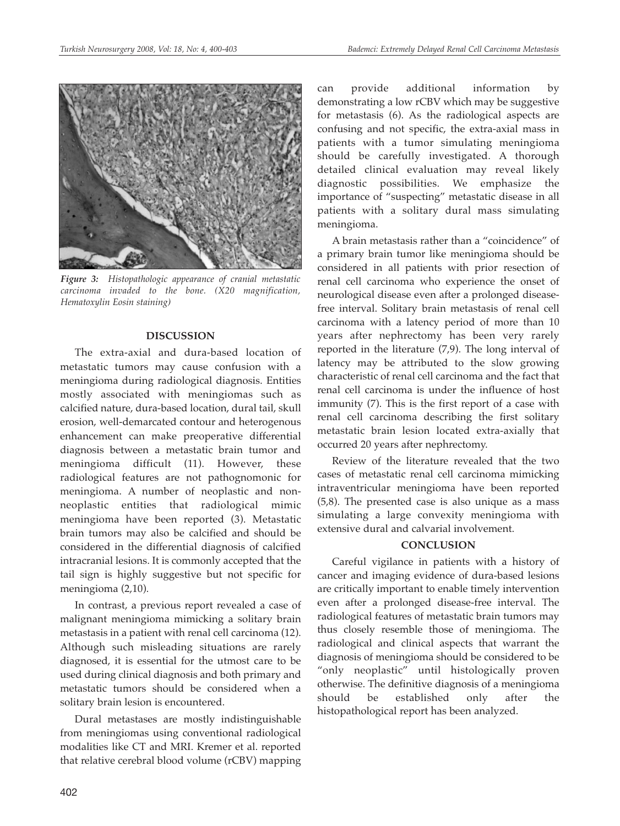

*Figure 3: Histopathologic appearance of cranial metastatic carcinoma invaded to the bone. (X20 magnification, Hematoxylin Eosin staining)*

#### **DISCUSSION**

The extra-axial and dura-based location of metastatic tumors may cause confusion with a meningioma during radiological diagnosis. Entities mostly associated with meningiomas such as calcified nature, dura-based location, dural tail, skull erosion, well-demarcated contour and heterogenous enhancement can make preoperative differential diagnosis between a metastatic brain tumor and meningioma difficult (11). However, these radiological features are not pathognomonic for meningioma. A number of neoplastic and nonneoplastic entities that radiological mimic meningioma have been reported (3). Metastatic brain tumors may also be calcified and should be considered in the differential diagnosis of calcified intracranial lesions. It is commonly accepted that the tail sign is highly suggestive but not specific for meningioma (2,10).

In contrast, a previous report revealed a case of malignant meningioma mimicking a solitary brain metastasis in a patient with renal cell carcinoma (12). Although such misleading situations are rarely diagnosed, it is essential for the utmost care to be used during clinical diagnosis and both primary and metastatic tumors should be considered when a solitary brain lesion is encountered.

Dural metastases are mostly indistinguishable from meningiomas using conventional radiological modalities like CT and MRI. Kremer et al. reported that relative cerebral blood volume (rCBV) mapping can provide additional information by demonstrating a low rCBV which may be suggestive for metastasis (6). As the radiological aspects are confusing and not specific, the extra-axial mass in patients with a tumor simulating meningioma should be carefully investigated. A thorough detailed clinical evaluation may reveal likely diagnostic possibilities. We emphasize the importance of "suspecting" metastatic disease in all patients with a solitary dural mass simulating meningioma.

A brain metastasis rather than a "coincidence" of a primary brain tumor like meningioma should be considered in all patients with prior resection of renal cell carcinoma who experience the onset of neurological disease even after a prolonged diseasefree interval. Solitary brain metastasis of renal cell carcinoma with a latency period of more than 10 years after nephrectomy has been very rarely reported in the literature (7,9). The long interval of latency may be attributed to the slow growing characteristic of renal cell carcinoma and the fact that renal cell carcinoma is under the influence of host immunity (7). This is the first report of a case with renal cell carcinoma describing the first solitary metastatic brain lesion located extra-axially that occurred 20 years after nephrectomy.

Review of the literature revealed that the two cases of metastatic renal cell carcinoma mimicking intraventricular meningioma have been reported (5,8). The presented case is also unique as a mass simulating a large convexity meningioma with extensive dural and calvarial involvement.

#### **CONCLUSION**

Careful vigilance in patients with a history of cancer and imaging evidence of dura-based lesions are critically important to enable timely intervention even after a prolonged disease-free interval. The radiological features of metastatic brain tumors may thus closely resemble those of meningioma. The radiological and clinical aspects that warrant the diagnosis of meningioma should be considered to be "only neoplastic" until histologically proven otherwise. The definitive diagnosis of a meningioma should be established only after the histopathological report has been analyzed.